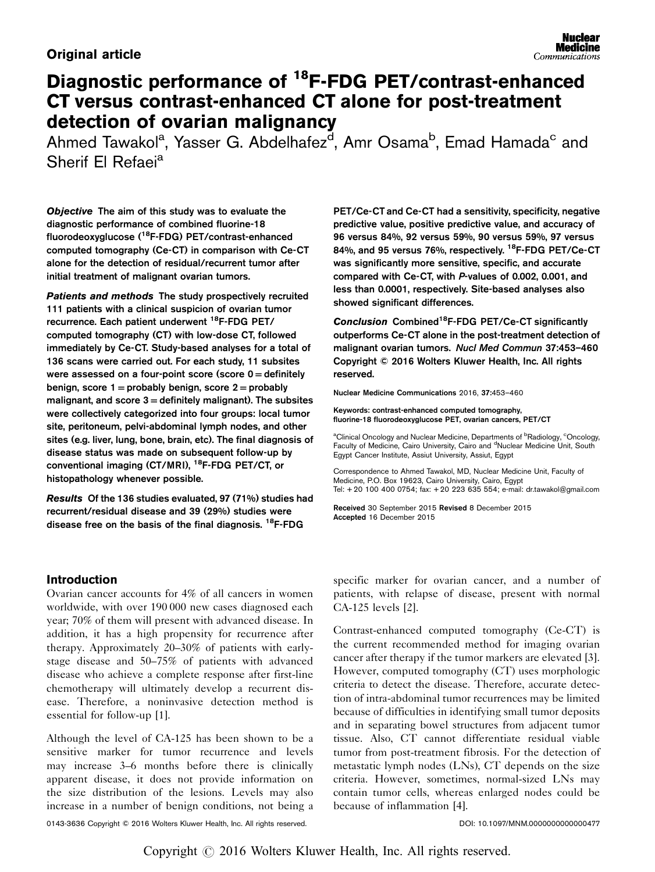# **Original article**

# Diagnostic performance of 18F-FDG PET/contrast-enhanced CT versus contrast-enhanced CT alone for post-treatment detection of ovarian malignancy

Ahmed Tawakol<sup>a</sup>, Yasser G. Abdelhafez<sup>d</sup>, Amr Osama<sup>b</sup>, Emad Hamada<sup>c</sup> and Sherif El Refaei<sup>a</sup>

Objective The aim of this study was to evaluate the diagnostic performance of combined fluorine-18 fluorodeoxyglucose (18F-FDG) PET/contrast-enhanced computed tomography (Ce-CT) in comparison with Ce-CT alone for the detection of residual/recurrent tumor after initial treatment of malignant ovarian tumors.

Patients and methods The study prospectively recruited 111 patients with a clinical suspicion of ovarian tumor recurrence. Each patient underwent 18F-FDG PET/ computed tomography (CT) with low-dose CT, followed immediately by Ce-CT. Study-based analyses for a total of 136 scans were carried out. For each study, 11 subsites were assessed on a four-point score (score  $0 =$  definitely benign, score  $1 =$  probably benign, score  $2 =$  probably malignant, and score  $3 =$  definitely malignant). The subsites were collectively categorized into four groups: local tumor site, peritoneum, pelvi-abdominal lymph nodes, and other sites (e.g. liver, lung, bone, brain, etc). The final diagnosis of disease status was made on subsequent follow-up by conventional imaging (CT/MRI), <sup>18</sup>F-FDG PET/CT, or histopathology whenever possible.

Results Of the 136 studies evaluated, 97 (71%) studies had recurrent/residual disease and 39 (29%) studies were disease free on the basis of the final diagnosis.  $^{18}$ F-FDG

PET/Ce-CT and Ce-CT had a sensitivity, specificity, negative predictive value, positive predictive value, and accuracy of 96 versus 84%, 92 versus 59%, 90 versus 59%, 97 versus 84%, and 95 versus 76%, respectively. <sup>18</sup>F-FDG PET/Ce-CT was significantly more sensitive, specific, and accurate compared with Ce-CT, with P-values of 0.002, 0.001, and less than 0.0001, respectively. Site-based analyses also showed significant differences.

Conclusion Combined<sup>18</sup>F-FDG PET/Ce-CT significantly outperforms Ce-CT alone in the post-treatment detection of malignant ovarian tumors. Nucl Med Commun 37:453–460 Copyright © 2016 Wolters Kluwer Health, Inc. All rights reserved.

Nuclear Medicine Communications 2016, 37:453–460

Keywords: contrast-enhanced computed tomography, fluorine-18 fluorodeoxyglucose PET, ovarian cancers, PET/CT

<sup>a</sup>Clinical Oncology and Nuclear Medicine, Departments of <sup>b</sup>Radiology, <sup>c</sup>Oncology,<br>Faculty of Medicine, Cairo University, Cairo and <sup>d</sup>Nuclear Medicine Unit, South Egypt Cancer Institute, Assiut University, Assiut, Egypt

Correspondence to Ahmed Tawakol, MD, Nuclear Medicine Unit, Faculty of Medicine, P.O. Box 19623, Cairo University, Cairo, Egypt Tel: + 20 100 400 0754; fax: + 20 223 635 554; e-mail: [dr.tawakol@gmail.com](mailto:dr.tawakol@gmail.com)

Received 30 September 2015 Revised 8 December 2015 Accepted 16 December 2015

## Introduction

Ovarian cancer accounts for 4% of all cancers in women worldwide, with over 190 000 new cases diagnosed each year; 70% of them will present with advanced disease. In addition, it has a high propensity for recurrence after therapy. Approximately 20–30% of patients with earlystage disease and 50–75% of patients with advanced disease who achieve a complete response after first-line chemotherapy will ultimately develop a recurrent disease. Therefore, a noninvasive detection method is essential for follow-up [\[1](#page-6-0)].

Although the level of CA-125 has been shown to be a sensitive marker for tumor recurrence and levels may increase 3–6 months before there is clinically apparent disease, it does not provide information on the size distribution of the lesions. Levels may also increase in a number of benign conditions, not being a

specific marker for ovarian cancer, and a number of patients, with relapse of disease, present with normal CA-125 levels [\[2\]](#page-6-0).

Contrast-enhanced computed tomography (Ce-CT) is the current recommended method for imaging ovarian cancer after therapy if the tumor markers are elevated [\[3](#page-6-0)]. However, computed tomography (CT) uses morphologic criteria to detect the disease. Therefore, accurate detection of intra-abdominal tumor recurrences may be limited because of difficulties in identifying small tumor deposits and in separating bowel structures from adjacent tumor tissue. Also, CT cannot differentiate residual viable tumor from post-treatment fibrosis. For the detection of metastatic lymph nodes (LNs), CT depends on the size criteria. However, sometimes, normal-sized LNs may contain tumor cells, whereas enlarged nodes could be because of inflammation [\[4](#page-6-0)].

0143-3636 Copyright © 2016 Wolters Kluwer Health, Inc. All rights reserved. DOI: 10.1097/MNM.0000000000000477

Copyright  $\odot$  2016 Wolters Kluwer Health, Inc. All rights reserved.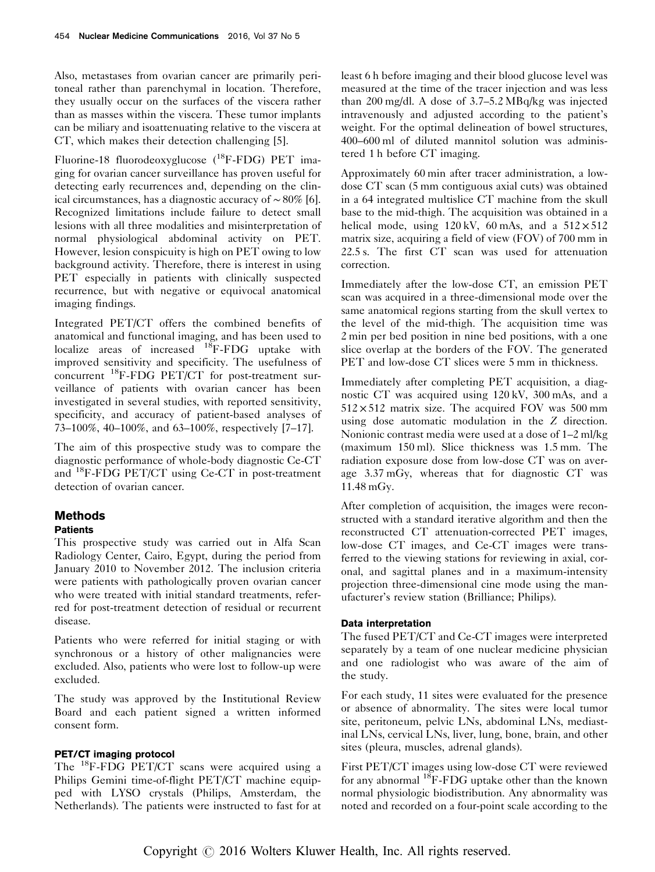Also, metastases from ovarian cancer are primarily peritoneal rather than parenchymal in location. Therefore, they usually occur on the surfaces of the viscera rather than as masses within the viscera. These tumor implants can be miliary and isoattenuating relative to the viscera at CT, which makes their detection challenging [\[5](#page-6-0)].

Fluorine-18 fluorodeoxyglucose (18F-FDG) PET imaging for ovarian cancer surveillance has proven useful for detecting early recurrences and, depending on the clinical circumstances, has a diagnostic accuracy of ∼ 80% [\[6](#page-6-0)]. Recognized limitations include failure to detect small lesions with all three modalities and misinterpretation of normal physiological abdominal activity on PET. However, lesion conspicuity is high on PET owing to low background activity. Therefore, there is interest in using PET especially in patients with clinically suspected recurrence, but with negative or equivocal anatomical imaging findings.

Integrated PET/CT offers the combined benefits of anatomical and functional imaging, and has been used to localize areas of increased <sup>18</sup>F-FDG uptake with improved sensitivity and specificity. The usefulness of concurrent 18F-FDG PET/CT for post-treatment surveillance of patients with ovarian cancer has been investigated in several studies, with reported sensitivity, specificity, and accuracy of patient-based analyses of 73–100%, 40–100%, and 63–100%, respectively [\[7](#page-6-0)–[17\]](#page-6-0).

The aim of this prospective study was to compare the diagnostic performance of whole-body diagnostic Ce-CT and 18F-FDG PET/CT using Ce-CT in post-treatment detection of ovarian cancer.

#### **Methods Patients**

This prospective study was carried out in Alfa Scan Radiology Center, Cairo, Egypt, during the period from January 2010 to November 2012. The inclusion criteria were patients with pathologically proven ovarian cancer who were treated with initial standard treatments, referred for post-treatment detection of residual or recurrent disease.

Patients who were referred for initial staging or with synchronous or a history of other malignancies were excluded. Also, patients who were lost to follow-up were excluded.

The study was approved by the Institutional Review Board and each patient signed a written informed consent form.

## PET/CT imaging protocol

The 18F-FDG PET/CT scans were acquired using a Philips Gemini time-of-flight PET/CT machine equipped with LYSO crystals (Philips, Amsterdam, the Netherlands). The patients were instructed to fast for at least 6 h before imaging and their blood glucose level was measured at the time of the tracer injection and was less than 200 mg/dl. A dose of 3.7–5.2 MBq/kg was injected intravenously and adjusted according to the patient's weight. For the optimal delineation of bowel structures, 400–600 ml of diluted mannitol solution was administered 1 h before CT imaging.

Approximately 60 min after tracer administration, a lowdose CT scan (5 mm contiguous axial cuts) was obtained in a 64 integrated multislice CT machine from the skull base to the mid-thigh. The acquisition was obtained in a helical mode, using  $120 \text{ kV}$ , 60 mAs, and a  $512 \times 512$ matrix size, acquiring a field of view (FOV) of 700 mm in 22.5 s. The first CT scan was used for attenuation correction.

Immediately after the low-dose CT, an emission PET scan was acquired in a three-dimensional mode over the same anatomical regions starting from the skull vertex to the level of the mid-thigh. The acquisition time was 2 min per bed position in nine bed positions, with a one slice overlap at the borders of the FOV. The generated PET and low-dose CT slices were 5 mm in thickness.

Immediately after completing PET acquisition, a diagnostic CT was acquired using 120 kV, 300 mAs, and a  $512 \times 512$  matrix size. The acquired FOV was 500 mm using dose automatic modulation in the Z direction. Nonionic contrast media were used at a dose of 1–2 ml/kg (maximum 150 ml). Slice thickness was 1.5 mm. The radiation exposure dose from low-dose CT was on average 3.37 mGy, whereas that for diagnostic CT was 11.48 mGy.

After completion of acquisition, the images were reconstructed with a standard iterative algorithm and then the reconstructed CT attenuation-corrected PET images, low-dose CT images, and Ce-CT images were transferred to the viewing stations for reviewing in axial, coronal, and sagittal planes and in a maximum-intensity projection three-dimensional cine mode using the manufacturer's review station (Brilliance; Philips).

## Data interpretation

The fused PET/CT and Ce-CT images were interpreted separately by a team of one nuclear medicine physician and one radiologist who was aware of the aim of the study.

For each study, 11 sites were evaluated for the presence or absence of abnormality. The sites were local tumor site, peritoneum, pelvic LNs, abdominal LNs, mediastinal LNs, cervical LNs, liver, lung, bone, brain, and other sites (pleura, muscles, adrenal glands).

First PET/CT images using low-dose CT were reviewed for any abnormal  $^{18}$ F-FDG uptake other than the known normal physiologic biodistribution. Any abnormality was noted and recorded on a four-point scale according to the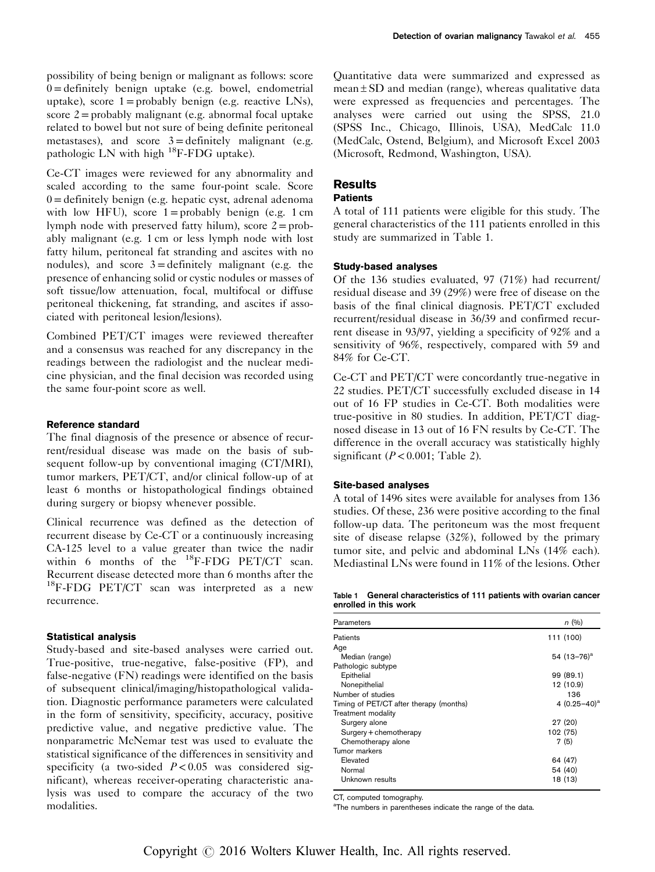possibility of being benign or malignant as follows: score  $0 =$  definitely benign uptake (e.g. bowel, endometrial uptake), score  $1 =$  probably benign (e.g. reactive LNs), score  $2 =$  probably malignant (e.g. abnormal focal uptake related to bowel but not sure of being definite peritoneal metastases), and score  $3 =$  definitely malignant (e.g. pathologic LN with high 18F-FDG uptake).

Ce-CT images were reviewed for any abnormality and scaled according to the same four-point scale. Score  $0 =$  definitely benign (e.g. hepatic cyst, adrenal adenoma with low HFU), score  $1 =$  probably benign (e.g. 1 cm lymph node with preserved fatty hilum), score  $2 = prob$ ably malignant (e.g. 1 cm or less lymph node with lost fatty hilum, peritoneal fat stranding and ascites with no nodules), and score  $3 =$ definitely malignant (e.g. the presence of enhancing solid or cystic nodules or masses of soft tissue/low attenuation, focal, multifocal or diffuse peritoneal thickening, fat stranding, and ascites if associated with peritoneal lesion/lesions).

Combined PET/CT images were reviewed thereafter and a consensus was reached for any discrepancy in the readings between the radiologist and the nuclear medicine physician, and the final decision was recorded using the same four-point score as well.

#### Reference standard

The final diagnosis of the presence or absence of recurrent/residual disease was made on the basis of subsequent follow-up by conventional imaging (CT/MRI), tumor markers, PET/CT, and/or clinical follow-up of at least 6 months or histopathological findings obtained during surgery or biopsy whenever possible.

Clinical recurrence was defined as the detection of recurrent disease by Ce-CT or a continuously increasing CA-125 level to a value greater than twice the nadir within 6 months of the  $^{18}$ F-FDG PET/CT scan. Recurrent disease detected more than 6 months after the <sup>18</sup>F-FDG PET/CT scan was interpreted as a new recurrence.

## Statistical analysis

Study-based and site-based analyses were carried out. True-positive, true-negative, false-positive (FP), and false-negative (FN) readings were identified on the basis of subsequent clinical/imaging/histopathological validation. Diagnostic performance parameters were calculated in the form of sensitivity, specificity, accuracy, positive predictive value, and negative predictive value. The nonparametric McNemar test was used to evaluate the statistical significance of the differences in sensitivity and specificity (a two-sided  $P < 0.05$  was considered significant), whereas receiver-operating characteristic analysis was used to compare the accuracy of the two modalities.

Quantitative data were summarized and expressed as  $mean \pm SD$  and median (range), whereas qualitative data were expressed as frequencies and percentages. The analyses were carried out using the SPSS, 21.0 (SPSS Inc., Chicago, Illinois, USA), MedCalc 11.0 (MedCalc, Ostend, Belgium), and Microsoft Excel 2003 (Microsoft, Redmond, Washington, USA).

# **Results**

#### **Patients**

A total of 111 patients were eligible for this study. The general characteristics of the 111 patients enrolled in this study are summarized in Table 1.

#### Study-based analyses

Of the 136 studies evaluated, 97 (71%) had recurrent/ residual disease and 39 (29%) were free of disease on the basis of the final clinical diagnosis. PET/CT excluded recurrent/residual disease in 36/39 and confirmed recurrent disease in 93/97, yielding a specificity of 92% and a sensitivity of 96%, respectively, compared with 59 and 84% for Ce-CT.

Ce-CT and PET/CT were concordantly true-negative in 22 studies. PET/CT successfully excluded disease in 14 out of 16 FP studies in Ce-CT. Both modalities were true-positive in 80 studies. In addition, PET/CT diagnosed disease in 13 out of 16 FN results by Ce-CT. The difference in the overall accuracy was statistically highly significant  $(P < 0.001$ ; [Table 2](#page-3-0)).

#### Site-based analyses

A total of 1496 sites were available for analyses from 136 studies. Of these, 236 were positive according to the final follow-up data. The peritoneum was the most frequent site of disease relapse (32%), followed by the primary tumor site, and pelvic and abdominal LNs (14% each). Mediastinal LNs were found in 11% of the lesions. Other

Table 1 General characteristics of 111 patients with ovarian cancer enrolled in this work

| Parameters                              | n(%)            |
|-----------------------------------------|-----------------|
| Patients                                | 111 (100)       |
| Age                                     |                 |
| Median (range)                          | 54 $(13-76)^a$  |
| Pathologic subtype                      |                 |
| Epithelial                              | 99 (89.1)       |
| Nonepithelial                           | 12 (10.9)       |
| Number of studies                       | 136             |
| Timing of PET/CT after therapy (months) | 4 $(0.25-40)^a$ |
| Treatment modality                      |                 |
| Surgery alone                           | 27 (20)         |
| Surgery + chemotherapy                  | 102 (75)        |
| Chemotherapy alone                      | 7(5)            |
| Tumor markers                           |                 |
| Elevated                                | 64 (47)         |
| Normal                                  | 54 (40)         |
| Unknown results                         | 18 (13)         |
|                                         |                 |

CT, computed tomography.

<sup>a</sup>The numbers in parentheses indicate the range of the data.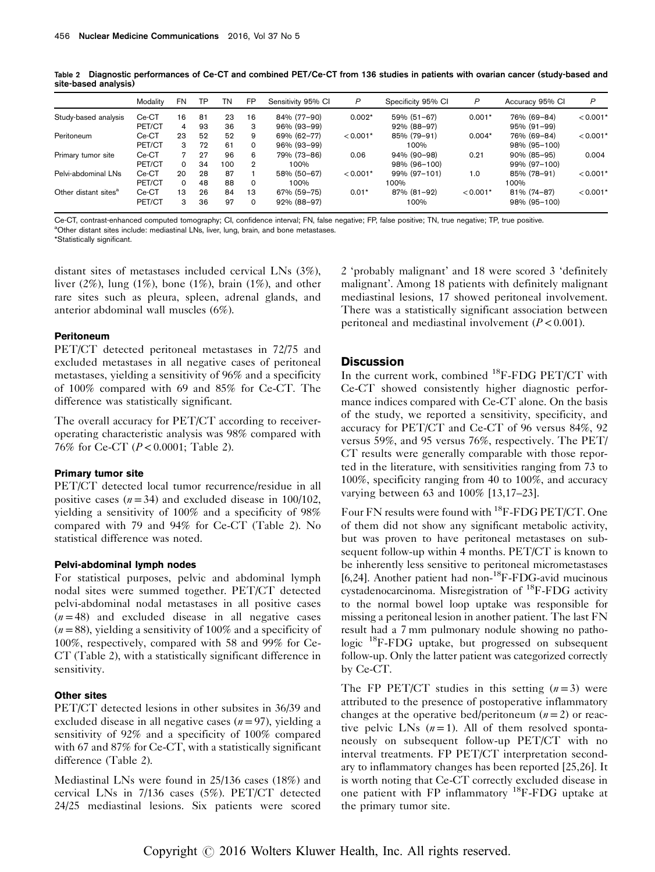<span id="page-3-0"></span>Table 2 Diagnostic performances of Ce-CT and combined PET/Ce-CT from 136 studies in patients with ovarian cancer (study-based and site-based analysis)

|                                  | Modality | FN | TP | TN  | <b>FP</b> | Sensitivity 95% CI | P          | Specificity 95% CI | P          | Accuracy 95% CI | P          |
|----------------------------------|----------|----|----|-----|-----------|--------------------|------------|--------------------|------------|-----------------|------------|
| Study-based analysis             | Ce-CT    | 16 | 81 | 23  | 16        | 84% (77-90)        | $0.002*$   | 59% (51-67)        | $0.001*$   | 76% (69-84)     | $< 0.001*$ |
|                                  | PET/CT   | 4  | 93 | 36  | 3         | 96% (93-99)        |            | 92% (88-97)        |            | 95% (91-99)     |            |
| Peritoneum                       | Ce-CT    | 23 | 52 | 52  | 9         | 69% (62-77)        | $< 0.001*$ | 85% (79-91)        | $0.004*$   | 76% (69-84)     | $< 0.001*$ |
|                                  | PET/CT   | 3  | 72 | 61  | $\Omega$  | 96% (93-99)        |            | 100%               |            | 98% (95-100)    |            |
| Primary tumor site               | Ce-CT    |    | 27 | 96  | 6         | 79% (73-86)        | 0.06       | 94% (90-98)        | 0.21       | 90% (85-95)     | 0.004      |
|                                  | PET/CT   | 0  | 34 | 100 | 2         | 100%               |            | 98% (96-100)       |            | 99% (97-100)    |            |
| Pelvi-abdominal LNs              | Ce-CT    | 20 | 28 | 87  |           | 58% (50-67)        | $< 0.001*$ | 99% (97-101)       | 1.0        | 85% (78-91)     | $< 0.001*$ |
|                                  | PET/CT   | 0  | 48 | 88  | $\Omega$  | 100%               |            | 100%               |            | 100%            |            |
| Other distant sites <sup>a</sup> | Ce-CT    | 13 | 26 | 84  | 13        | 67% (59-75)        | $0.01*$    | 87% (81-92)        | $< 0.001*$ | 81% (74-87)     | $< 0.001*$ |
|                                  | PET/CT   | 3  | 36 | 97  | $\Omega$  | 92% (88-97)        |            | 100%               |            | 98% (95-100)    |            |

Ce-CT, contrast-enhanced computed tomography; CI, confidence interval; FN, false negative; FP, false positive; TN, true negative; TP, true positive. <sup>a</sup>Other distant sites include: mediastinal LNs, liver, lung, brain, and bone metastases.

\*Statistically significant.

distant sites of metastases included cervical LNs (3%), liver  $(2\%)$ , lung  $(1\%)$ , bone  $(1\%)$ , brain  $(1\%)$ , and other rare sites such as pleura, spleen, adrenal glands, and anterior abdominal wall muscles (6%).

#### Peritoneum

PET/CT detected peritoneal metastases in 72/75 and excluded metastases in all negative cases of peritoneal metastases, yielding a sensitivity of 96% and a specificity of 100% compared with 69 and 85% for Ce-CT. The difference was statistically significant.

The overall accuracy for PET/CT according to receiveroperating characteristic analysis was 98% compared with 76% for Ce-CT (P< 0.0001; Table 2).

#### Primary tumor site

PET/CT detected local tumor recurrence/residue in all positive cases  $(n=34)$  and excluded disease in 100/102, yielding a sensitivity of 100% and a specificity of 98% compared with 79 and 94% for Ce-CT (Table 2). No statistical difference was noted.

#### Pelvi-abdominal lymph nodes

For statistical purposes, pelvic and abdominal lymph nodal sites were summed together. PET/CT detected pelvi-abdominal nodal metastases in all positive cases  $(n=48)$  and excluded disease in all negative cases  $(n = 88)$ , yielding a sensitivity of 100% and a specificity of 100%, respectively, compared with 58 and 99% for Ce-CT (Table 2), with a statistically significant difference in sensitivity.

#### Other sites

PET/CT detected lesions in other subsites in 36/39 and excluded disease in all negative cases  $(n=97)$ , yielding a sensitivity of 92% and a specificity of 100% compared with 67 and 87% for Ce-CT, with a statistically significant difference (Table 2).

Mediastinal LNs were found in 25/136 cases (18%) and cervical LNs in 7/136 cases (5%). PET/CT detected 24/25 mediastinal lesions. Six patients were scored

2 'probably malignant' and 18 were scored 3 'definitely malignant'. Among 18 patients with definitely malignant mediastinal lesions, 17 showed peritoneal involvement. There was a statistically significant association between peritoneal and mediastinal involvement  $(P < 0.001)$ .

#### **Discussion**

In the current work, combined <sup>18</sup>F-FDG PET/CT with Ce-CT showed consistently higher diagnostic performance indices compared with Ce-CT alone. On the basis of the study, we reported a sensitivity, specificity, and accuracy for PET/CT and Ce-CT of 96 versus 84%, 92 versus 59%, and 95 versus 76%, respectively. The PET/ CT results were generally comparable with those reported in the literature, with sensitivities ranging from 73 to 100%, specificity ranging from 40 to 100%, and accuracy varying between 63 and 100% [\[13,17](#page-6-0)–[23](#page-6-0)].

Four FN results were found with 18F-FDG PET/CT. One of them did not show any significant metabolic activity, but was proven to have peritoneal metastases on subsequent follow-up within 4 months. PET/CT is known to be inherently less sensitive to peritoneal micrometastases [\[6,24](#page-6-0)]. Another patient had non-18F-FDG-avid mucinous cystadenocarcinoma. Misregistration of 18F-FDG activity to the normal bowel loop uptake was responsible for missing a peritoneal lesion in another patient. The last FN result had a 7 mm pulmonary nodule showing no pathologic 18F-FDG uptake, but progressed on subsequent follow-up. Only the latter patient was categorized correctly by Ce-CT.

The FP PET/CT studies in this setting  $(n=3)$  were attributed to the presence of postoperative inflammatory changes at the operative bed/peritoneum  $(n=2)$  or reactive pelvic LNs  $(n=1)$ . All of them resolved spontaneously on subsequent follow-up PET/CT with no interval treatments. FP PET/CT interpretation secondary to inflammatory changes has been reported [\[25](#page-6-0),[26\]](#page-6-0). It is worth noting that Ce-CT correctly excluded disease in one patient with FP inflammatory 18F-FDG uptake at the primary tumor site.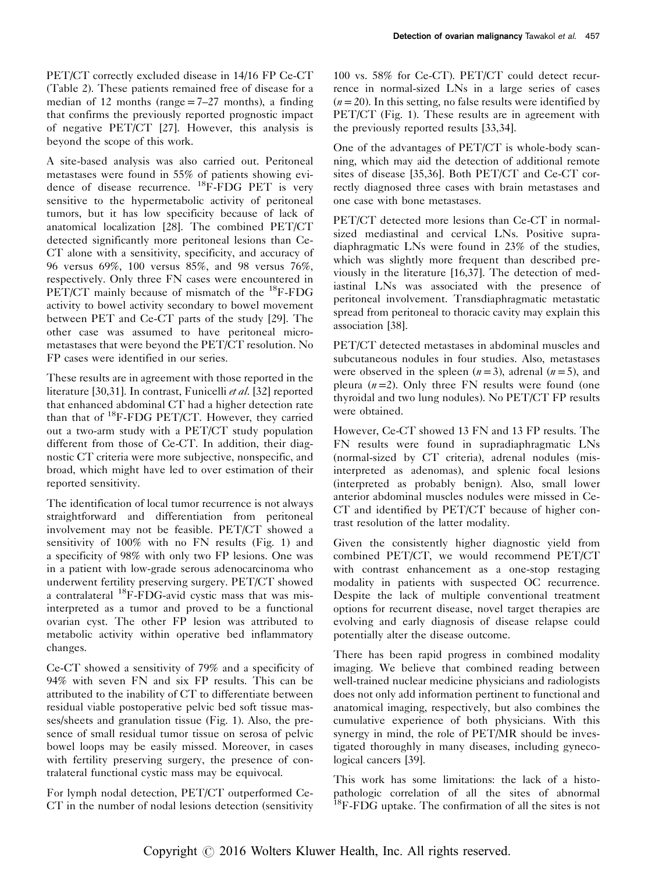PET/CT correctly excluded disease in 14/16 FP Ce-CT [\(Table 2\)](#page-3-0). These patients remained free of disease for a median of 12 months (range  $= 7-27$  months), a finding that confirms the previously reported prognostic impact of negative PET/CT [\[27\]](#page-6-0). However, this analysis is beyond the scope of this work.

A site-based analysis was also carried out. Peritoneal metastases were found in 55% of patients showing evidence of disease recurrence. 18F-FDG PET is very sensitive to the hypermetabolic activity of peritoneal tumors, but it has low specificity because of lack of anatomical localization [\[28\]](#page-6-0). The combined PET/CT detected significantly more peritoneal lesions than Ce-CT alone with a sensitivity, specificity, and accuracy of 96 versus 69%, 100 versus 85%, and 98 versus 76%, respectively. Only three FN cases were encountered in PET/CT mainly because of mismatch of the <sup>18</sup>F-FDG activity to bowel activity secondary to bowel movement between PET and Ce-CT parts of the study [\[29](#page-6-0)]. The other case was assumed to have peritoneal micrometastases that were beyond the PET/CT resolution. No FP cases were identified in our series.

These results are in agreement with those reported in the literature [\[30,31](#page-6-0)]. In contrast, Funicelli et al. [\[32\]](#page-6-0) reported that enhanced abdominal CT had a higher detection rate than that of <sup>18</sup>F-FDG PET/CT. However, they carried out a two-arm study with a PET/CT study population different from those of Ce-CT. In addition, their diagnostic CT criteria were more subjective, nonspecific, and broad, which might have led to over estimation of their reported sensitivity.

The identification of local tumor recurrence is not always straightforward and differentiation from peritoneal involvement may not be feasible. PET/CT showed a sensitivity of 100% with no FN results [\(Fig. 1\)](#page-5-0) and a specificity of 98% with only two FP lesions. One was in a patient with low-grade serous adenocarcinoma who underwent fertility preserving surgery. PET/CT showed a contralateral 18F-FDG-avid cystic mass that was misinterpreted as a tumor and proved to be a functional ovarian cyst. The other FP lesion was attributed to metabolic activity within operative bed inflammatory changes.

Ce-CT showed a sensitivity of 79% and a specificity of 94% with seven FN and six FP results. This can be attributed to the inability of CT to differentiate between residual viable postoperative pelvic bed soft tissue masses/sheets and granulation tissue ([Fig. 1](#page-5-0)). Also, the presence of small residual tumor tissue on serosa of pelvic bowel loops may be easily missed. Moreover, in cases with fertility preserving surgery, the presence of contralateral functional cystic mass may be equivocal.

For lymph nodal detection, PET/CT outperformed Ce-CT in the number of nodal lesions detection (sensitivity 100 vs. 58% for Ce-CT). PET/CT could detect recurrence in normal-sized LNs in a large series of cases  $(n= 20)$ . In this setting, no false results were identified by PET/CT ([Fig. 1](#page-5-0)). These results are in agreement with the previously reported results [\[33](#page-6-0),[34\]](#page-6-0).

One of the advantages of PET/CT is whole-body scanning, which may aid the detection of additional remote sites of disease [\[35,](#page-6-0)[36\]](#page-7-0). Both PET/CT and Ce-CT correctly diagnosed three cases with brain metastases and one case with bone metastases.

PET/CT detected more lesions than Ce-CT in normalsized mediastinal and cervical LNs. Positive supradiaphragmatic LNs were found in 23% of the studies, which was slightly more frequent than described previously in the literature [\[16](#page-6-0)[,37](#page-7-0)]. The detection of mediastinal LNs was associated with the presence of peritoneal involvement. Transdiaphragmatic metastatic spread from peritoneal to thoracic cavity may explain this association [\[38](#page-7-0)].

PET/CT detected metastases in abdominal muscles and subcutaneous nodules in four studies. Also, metastases were observed in the spleen  $(n=3)$ , adrenal  $(n=5)$ , and pleura  $(n=2)$ . Only three FN results were found (one thyroidal and two lung nodules). No PET/CT FP results were obtained.

However, Ce-CT showed 13 FN and 13 FP results. The FN results were found in supradiaphragmatic LNs (normal-sized by CT criteria), adrenal nodules (misinterpreted as adenomas), and splenic focal lesions (interpreted as probably benign). Also, small lower anterior abdominal muscles nodules were missed in Ce-CT and identified by PET/CT because of higher contrast resolution of the latter modality.

Given the consistently higher diagnostic yield from combined PET/CT, we would recommend PET/CT with contrast enhancement as a one-stop restaging modality in patients with suspected OC recurrence. Despite the lack of multiple conventional treatment options for recurrent disease, novel target therapies are evolving and early diagnosis of disease relapse could potentially alter the disease outcome.

There has been rapid progress in combined modality imaging. We believe that combined reading between well-trained nuclear medicine physicians and radiologists does not only add information pertinent to functional and anatomical imaging, respectively, but also combines the cumulative experience of both physicians. With this synergy in mind, the role of PET/MR should be investigated thoroughly in many diseases, including gynecological cancers [\[39\]](#page-7-0).

This work has some limitations: the lack of a histopathologic correlation of all the sites of abnormal  $^{18}$ F-FDG uptake. The confirmation of all the sites is not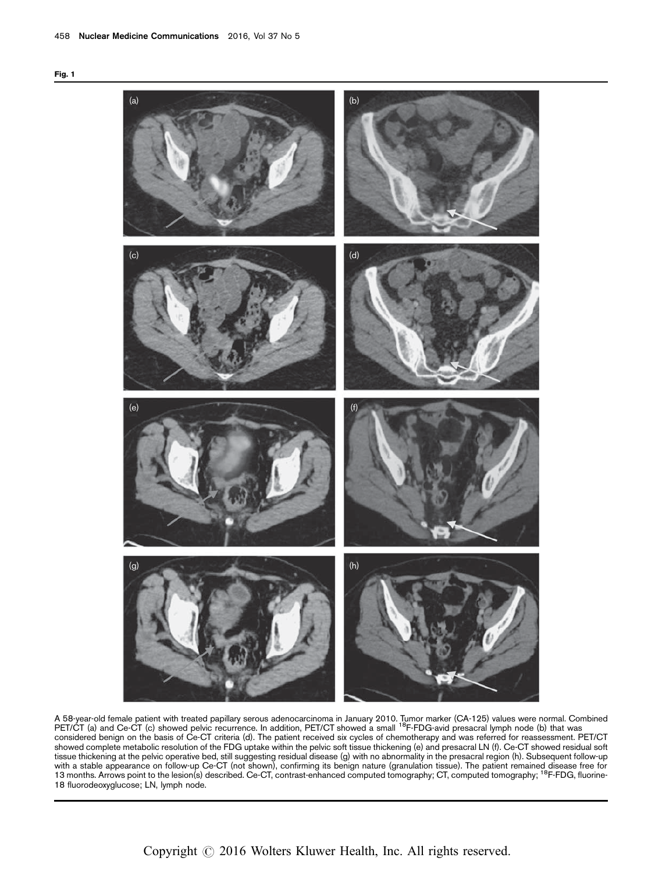<span id="page-5-0"></span>



A 58-year-old female patient with treated papillary serous adenocarcinoma in January 2010. Tumor marker (CA-125) values were normal. Combined<br>PET/CT (a) and Ce-CT (c) showed pelvic recurrence. In addition, PET/CT showed a considered benign on the basis of Ce-CT criteria (d). The patient received six cycles of chemotherapy and was referred for reassessment. PET/CT showed complete metabolic resolution of the FDG uptake within the pelvic soft tissue thickening (e) and presacral LN (f). Ce-CT showed residual soft tissue thickening at the pelvic operative bed, still suggesting residual disease (g) with no abnormality in the presacral region (h). Subsequent follow-up with a stable appearance on follow-up Ce-CT (not shown), confirming its benign nature (granulation tissue). The patient remained disease free for<br>13 months. Arrows point to the lesion(s) described. Ce-CT, contrast-enhanced 18 fluorodeoxyglucose; LN, lymph node.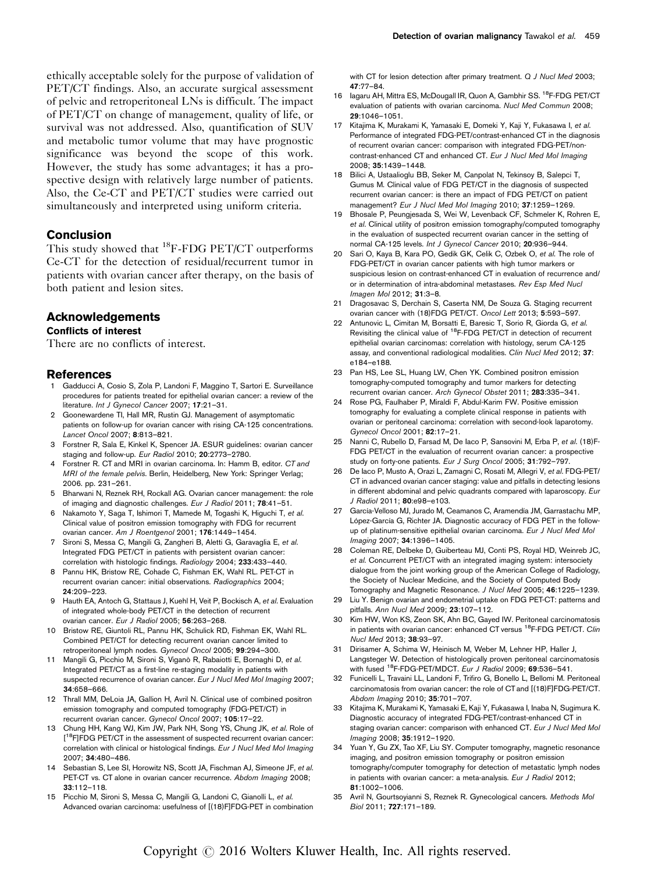<span id="page-6-0"></span>ethically acceptable solely for the purpose of validation of PET/CT findings. Also, an accurate surgical assessment of pelvic and retroperitoneal LNs is difficult. The impact of PET/CT on change of management, quality of life, or survival was not addressed. Also, quantification of SUV and metabolic tumor volume that may have prognostic significance was beyond the scope of this work. However, the study has some advantages; it has a prospective design with relatively large number of patients. Also, the Ce-CT and PET/CT studies were carried out simultaneously and interpreted using uniform criteria.

#### Conclusion

This study showed that <sup>18</sup>F-FDG PET/CT outperforms Ce-CT for the detection of residual/recurrent tumor in patients with ovarian cancer after therapy, on the basis of both patient and lesion sites.

# Acknowledgements

#### Conflicts of interest

There are no conflicts of interest.

#### References

- 1 Gadducci A, Cosio S, Zola P, Landoni F, Maggino T, Sartori E. Surveillance procedures for patients treated for epithelial ovarian cancer: a review of the literature. Int J Gynecol Cancer 2007; 17:21–31.
- 2 Goonewardene TI, Hall MR, Rustin GJ. Management of asymptomatic patients on follow-up for ovarian cancer with rising CA-125 concentrations. Lancet Oncol 2007; 8:813–821.
- 3 Forstner R, Sala E, Kinkel K, Spencer JA. ESUR guidelines: ovarian cancer staging and follow-up. Eur Radiol 2010; 20:2773–2780.
- 4 Forstner R. CT and MRI in ovarian carcinoma. In: Hamm B, editor. CT and MRI of the female pelvis. Berlin, Heidelberg, New York: Springer Verlag; 2006. pp. 231–261.
- 5 Bharwani N, Reznek RH, Rockall AG. Ovarian cancer management: the role of imaging and diagnostic challenges. Eur J Radiol 2011; 78:41–51.
- 6 Nakamoto Y, Saga T, Ishimori T, Mamede M, Togashi K, Higuchi T, et al. Clinical value of positron emission tomography with FDG for recurrent ovarian cancer. Am J Roentgenol 2001: 176:1449-1454.
- 7 Sironi S, Messa C, Mangili G, Zangheri B, Aletti G, Garavaglia E, et al. Integrated FDG PET/CT in patients with persistent ovarian cancer: correlation with histologic findings. Radiology 2004; 233:433–440.
- 8 Pannu HK, Bristow RE, Cohade C, Fishman EK, Wahl RL. PET-CT in recurrent ovarian cancer: initial observations. Radiographics 2004; 24:209–223.
- 9 Hauth EA, Antoch G, Stattaus J, Kuehl H, Veit P, Bockisch A, et al. Evaluation of integrated whole-body PET/CT in the detection of recurrent ovarian cancer. Eur J Radiol 2005; 56:263-268.
- 10 Bristow RE, Giuntoli RL, Pannu HK, Schulick RD, Fishman EK, Wahl RL. Combined PET/CT for detecting recurrent ovarian cancer limited to retroperitoneal lymph nodes. Gynecol Oncol 2005; 99:294–300.
- Mangili G, Picchio M, Sironi S, Viganò R, Rabaiotti E, Bornaghi D, et al. Integrated PET/CT as a first-line re-staging modality in patients with suspected recurrence of ovarian cancer. Eur J Nucl Med Mol Imaging 2007; 34:658–666.
- 12 Thrall MM, DeLoia JA, Gallion H, Avril N. Clinical use of combined positron emission tomography and computed tomography (FDG-PET/CT) in recurrent ovarian cancer. Gynecol Oncol 2007; 105:17–22.
- 13 Chung HH, Kang WJ, Kim JW, Park NH, Song YS, Chung JK, et al. Role of [<sup>18</sup>F]FDG PET/CT in the assessment of suspected recurrent ovarian cancer: correlation with clinical or histological findings. Eur J Nucl Med Mol Imaging 2007; 34:480–486.
- 14 Sebastian S, Lee SI, Horowitz NS, Scott JA, Fischman AJ, Simeone JF, et al. PET-CT vs. CT alone in ovarian cancer recurrence. Abdom Imaging 2008; 33:112–118.
- 15 Picchio M, Sironi S, Messa C, Mangili G, Landoni C, Gianolli L, et al. Advanced ovarian carcinoma: usefulness of [(18)F]FDG-PET in combination

with CT for lesion detection after primary treatment. Q J Nucl Med 2003; 47:77–84.

- 16 Iagaru AH, Mittra ES, McDougall IR, Quon A, Gambhir SS. <sup>18</sup>F-FDG PET/CT evaluation of patients with ovarian carcinoma. Nucl Med Commun 2008; 29:1046–1051.
- 17 Kitajima K, Murakami K, Yamasaki E, Domeki Y, Kaji Y, Fukasawa I, et al. Performance of integrated FDG-PET/contrast-enhanced CT in the diagnosis of recurrent ovarian cancer: comparison with integrated FDG-PET/noncontrast-enhanced CT and enhanced CT. Eur J Nucl Med Mol Imaging 2008; 35:1439–1448.
- 18 Bilici A, Ustaalioglu BB, Seker M, Canpolat N, Tekinsoy B, Salepci T, Gumus M. Clinical value of FDG PET/CT in the diagnosis of suspected recurrent ovarian cancer: is there an impact of FDG PET/CT on patient management? Eur J Nucl Med Mol Imaging 2010; 37:1259–1269.
- 19 Bhosale P, Peungjesada S, Wei W, Levenback CF, Schmeler K, Rohren E, et al. Clinical utility of positron emission tomography/computed tomography in the evaluation of suspected recurrent ovarian cancer in the setting of normal CA-125 levels. Int J Gynecol Cancer 2010; 20:936–944.
- 20 Sari O, Kaya B, Kara PO, Gedik GK, Celik C, Ozbek O, et al. The role of FDG-PET/CT in ovarian cancer patients with high tumor markers or suspicious lesion on contrast-enhanced CT in evaluation of recurrence and/ or in determination of intra-abdominal metastases. Rev Esp Med Nucl Imagen Mol 2012; 31:3–8.
- 21 Dragosavac S, Derchain S, Caserta NM, De Souza G. Staging recurrent ovarian cancer with (18)FDG PET/CT. Oncol Lett 2013; 5:593–597.
- 22 Antunovic L, Cimitan M, Borsatti E, Baresic T, Sorio R, Giorda G, et al. Revisiting the clinical value of 18F-FDG PET/CT in detection of recurrent epithelial ovarian carcinomas: correlation with histology, serum CA-125 assay, and conventional radiological modalities. Clin Nucl Med 2012; 37: e184–e188.
- 23 Pan HS, Lee SL, Huang LW, Chen YK. Combined positron emission tomography-computed tomography and tumor markers for detecting recurrent ovarian cancer. Arch Gynecol Obstet 2011; 283:335–341.
- 24 Rose PG, Faulhaber P, Miraldi F, Abdul-Karim FW. Positive emission tomography for evaluating a complete clinical response in patients with ovarian or peritoneal carcinoma: correlation with second-look laparotomy. Gynecol Oncol 2001; 82:17–21.
- 25 Nanni C, Rubello D, Farsad M, De Iaco P, Sansovini M, Erba P, et al. (18)F-FDG PET/CT in the evaluation of recurrent ovarian cancer: a prospective study on forty-one patients. Eur J Surg Oncol 2005; 31:792–797.
- 26 De Iaco P, Musto A, Orazi L, Zamagni C, Rosati M, Allegri V, et al, FDG-PET/ CT in advanced ovarian cancer staging: value and pitfalls in detecting lesions in different abdominal and pelvic quadrants compared with laparoscopy. Eur J Radiol 2011; 80:e98–e103.
- 27 García-Velloso MJ, Jurado M, Ceamanos C, Aramendía JM, Garrastachu MP, López-García G, Richter JA. Diagnostic accuracy of FDG PET in the followup of platinum-sensitive epithelial ovarian carcinoma. Eur J Nucl Med Mol Imaging 2007; 34:1396–1405.
- 28 Coleman RE, Delbeke D, Guiberteau MJ, Conti PS, Royal HD, Weinreb JC, et al. Concurrent PET/CT with an integrated imaging system: intersociety dialogue from the joint working group of the American College of Radiology, the Society of Nuclear Medicine, and the Society of Computed Body Tomography and Magnetic Resonance. J Nucl Med 2005; 46:1225–1239.
- 29 Liu Y. Benign ovarian and endometrial uptake on FDG PET-CT: patterns and pitfalls. Ann Nucl Med 2009; 23:107–112.
- 30 Kim HW, Won KS, Zeon SK, Ahn BC, Gayed IW. Peritoneal carcinomatosis in patients with ovarian cancer: enhanced CT versus <sup>18</sup>F-FDG PET/CT. Clin Nucl Med 2013; 38:93–97.
- 31 Dirisamer A, Schima W, Heinisch M, Weber M, Lehner HP, Haller J, Langsteger W. Detection of histologically proven peritoneal carcinomatosis with fused <sup>18</sup>F-FDG-PET/MDCT. Eur J Radiol 2009; 69:536-541.
- 32 Funicelli L, Travaini LL, Landoni F, Trifiro G, Bonello L, Bellomi M. Peritoneal carcinomatosis from ovarian cancer: the role of CT and [(18)F]FDG-PET/CT. Abdom Imaging 2010; 35:701–707.
- 33 Kitajima K, Murakami K, Yamasaki E, Kaji Y, Fukasawa I, Inaba N, Sugimura K. Diagnostic accuracy of integrated FDG-PET/contrast-enhanced CT in staging ovarian cancer: comparison with enhanced CT. Eur J Nucl Med Mol Imaging 2008; 35:1912–1920.
- 34 Yuan Y, Gu ZX, Tao XF, Liu SY. Computer tomography, magnetic resonance imaging, and positron emission tomography or positron emission tomography/computer tomography for detection of metastatic lymph nodes in patients with ovarian cancer: a meta-analysis. Eur J Radiol 2012; 81:1002–1006.
- 35 Avril N, Gourtsoyianni S, Reznek R. Gynecological cancers. Methods Mol Biol 2011; 727:171–189.